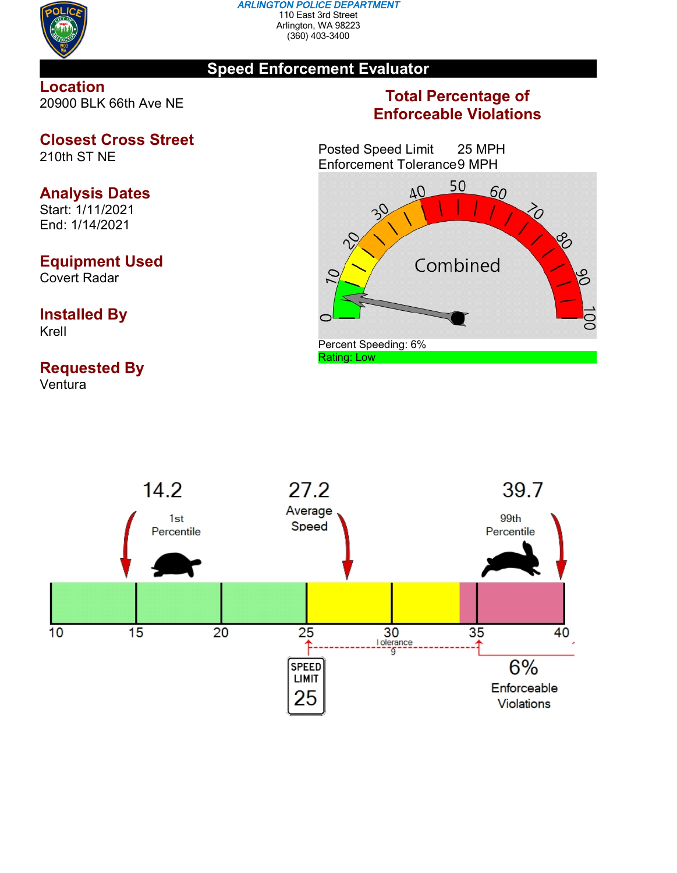

#### *ARLINGTON POLICE DEPARTMENT* 110 East 3rd Street Arlington, WA 98223 (360) 403-3400

## **Speed Enforcement Evaluator**

### **Location** 20900 BLK 66th Ave NE

**Closest Cross Street**

210th ST NE

# **Analysis Dates**

Start: 1/11/2021 End: 1/14/2021

# **Equipment Used**

Covert Radar

### **Installed By** Krell

# **Requested By**

Ventura

## **Total Percentage of Enforceable Violations**

Posted Speed Limit 25 MPH Enforcement Tolerance9 MPH